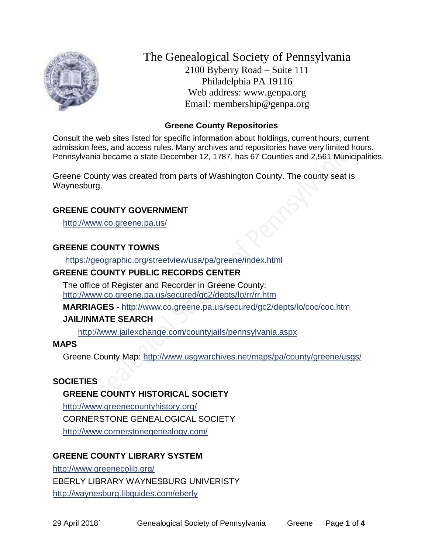

The Genealogical Society of Pennsylvania 2100 Byberry Road – Suite 111 Philadelphia PA 19116 Web address: www.genpa.org Email: membership@genpa.org

#### **Greene County Repositories**

Consult the web sites listed for specific information about holdings, current hours, current admission fees, and access rules. Many archives and repositories have very limited hours. Pennsylvania became a state December 12, 1787, has 67 Counties and 2,561 Municipalities.

Greene County was created from parts of Washington County. The county seat is Waynesburg.

## **GREENE COUNTY GOVERNMENT**

<http://www.co.greene.pa.us/>

#### **GREENE COUNTY TOWNS**

<https://geographic.org/streetview/usa/pa/greene/index.html>

#### **GREENE COUNTY PUBLIC RECORDS CENTER**

The office of Register and Recorder in Greene County: <http://www.co.greene.pa.us/secured/gc2/depts/lo/rr/rr.htm>

**MARRIAGES -** <http://www.co.greene.pa.us/secured/gc2/depts/lo/coc/coc.htm>

#### **JAIL/INMATE SEARCH**

<http://www.jailexchange.com/countyjails/pennsylvania.aspx>

#### **MAPS**

Greene County Map:<http://www.usgwarchives.net/maps/pa/county/greene/usgs/>

#### **SOCIETIES**

#### **GREENE COUNTY HISTORICAL SOCIETY**

<http://www.greenecountyhistory.org/> CORNERSTONE GENEALOGICAL SOCIETY <http://www.cornerstonegenealogy.com/>

## **GREENE COUNTY LIBRARY SYSTEM**

<http://www.greenecolib.org/> EBERLY LIBRARY WAYNESBURG UNIVERISTY <http://waynesburg.libguides.com/eberly>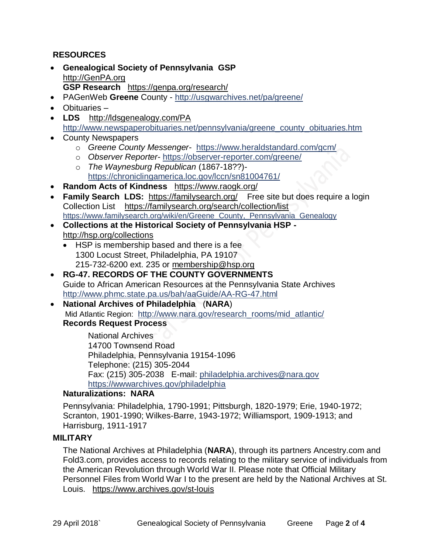# **RESOURCES**

- **Genealogical Society of Pennsylvania GSP** [http://GenPA.org](http://genpa.org/) **GSP Research** <https://genpa.org/research/>
- PAGenWeb **Greene** County <http://usgwarchives.net/pa/greene/>
- Obituaries –
- **LDS** <http://ldsgenealogy.com/PA> [http://www.newspaperobituaries.net/pennsylvania/greene\\_county\\_obituaries.htm](http://www.newspaperobituaries.net/pennsylvania/greene_county_obituaries.htm)
- County Newspapers
	- o *Greene County Messenger* <https://www.heraldstandard.com/gcm/>
	- o *Observer Reporter* <https://observer-reporter.com/greene/>
	- o *The Waynesburg Republican* (1867-18??) <https://chroniclingamerica.loc.gov/lccn/sn81004761/>
- **Random Acts of Kindness** <https://www.raogk.org/>
- **Family Search LDS:** <https://familysearch.org/>Free site but does require a login Collection List <https://familysearch.org/search/collection/list> https://www.familysearch.org/wiki/en/Greene\_County, Pennsylvania\_Genealogy
- **Collections at the Historical Society of Pennsylvania HSP**  <http://hsp.org/collections>
	- HSP is membership based and there is a fee 1300 Locust Street, Philadelphia, PA 19107 215-732-6200 ext. 235 or [membership@hsp.org](mailto:membership@hsp.org)
- **RG-47. RECORDS OF THE COUNTY GOVERNMENTS** Guide to African American Resources at the Pennsylvania State Archives <http://www.phmc.state.pa.us/bah/aaGuide/AA-RG-47.html>
- **National Archives of Philadelphia** (**NARA**) Mid Atlantic Region: [http://www.nara.gov/research\\_rooms/mid\\_atlantic/](http://www.nara.gov/research_rooms/mid_atlantic/) **Records Request Process**

National Archives 14700 Townsend Road Philadelphia, Pennsylvania 19154-1096 Telephone: (215) 305-2044 Fax: (215) 305-2038 E-mail: [philadelphia.archives@nara.gov](mailto:philadelphia.archives@nara.gov) <https://wwwarchives.gov/philadelphia>

#### **Naturalizations: NARA**

Pennsylvania: Philadelphia, 1790-1991; Pittsburgh, 1820-1979; Erie, 1940-1972; Scranton, 1901-1990; Wilkes-Barre, 1943-1972; Williamsport, 1909-1913; and Harrisburg, 1911-1917

## **MILITARY**

The National Archives at Philadelphia (**NARA**), through its partners Ancestry.com and Fold3.com, provides access to records relating to the military service of individuals from the American Revolution through World War II. Please note that Official Military Personnel Files from World War I to the present are held by the National Archives at St. Louis. <https://www.archives.gov/st-louis>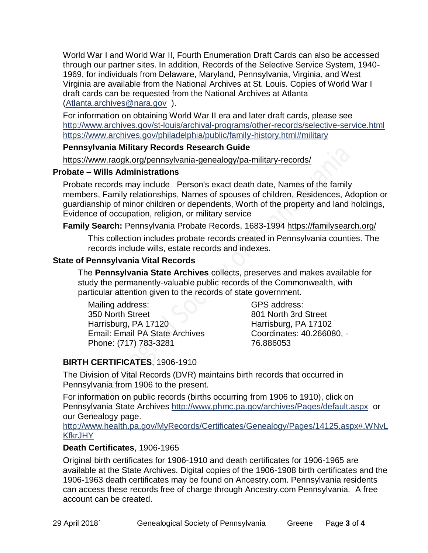World War I and World War II, Fourth Enumeration Draft Cards can also be accessed through our partner sites. In addition, Records of the Selective Service System, 1940- 1969, for individuals from Delaware, Maryland, Pennsylvania, Virginia, and West Virginia are available from the National Archives at St. Louis. Copies of World War I draft cards can be requested from the National Archives at Atlanta [\(Atlanta.archives@nara.gov](mailto:Atlanta.archives@nara.gov) ).

For information on obtaining World War II era and later draft cards, please see <http://www.archives.gov/st-louis/archival-programs/other-records/selective-service.html> <https://www.archives.gov/philadelphia/public/family-history.html#military>

#### **Pennsylvania Military Records Research Guide**

<https://www.raogk.org/pennsylvania-genealogy/pa-military-records/>

#### **Probate – Wills Administrations**

Probate records may include Person's exact death date, Names of the family members, Family relationships, Names of spouses of children, Residences, Adoption or guardianship of minor children or dependents, Worth of the property and land holdings, Evidence of occupation, religion, or military service

## **Family Search:** Pennsylvania Probate Records, 1683-1994 <https://familysearch.org/>

This collection includes probate records created in Pennsylvania counties. The records include wills, estate records and indexes.

## **State of Pennsylvania Vital Records**

The **Pennsylvania State Archives** collects, preserves and makes available for study the permanently-valuable public records of the Commonwealth, with particular attention given to the records of state government.

Mailing address: 350 North Street Harrisburg, PA 17120 Email: Email PA State Archives Phone: (717) 783-3281

GPS address: 801 North 3rd Street Harrisburg, PA 17102 Coordinates: 40.266080, - 76.886053

# **BIRTH CERTIFICATES**, 1906-1910

The Division of Vital Records (DVR) maintains birth records that occurred in Pennsylvania from 1906 to the present.

For information on public records (births occurring from 1906 to 1910), click on Pennsylvania State Archives <http://www.phmc.pa.gov/archives/Pages/default.aspx>or our Genealogy page.

[http://www.health.pa.gov/MyRecords/Certificates/Genealogy/Pages/14125.aspx#.WNvL](http://www.health.pa.gov/MyRecords/Certificates/Genealogy/Pages/14125.aspx#.WNvLKfkrJHY) **[KfkrJHY](http://www.health.pa.gov/MyRecords/Certificates/Genealogy/Pages/14125.aspx#.WNvLKfkrJHY)** 

## **Death Certificates**, 1906-1965

Original birth certificates for 1906-1910 and death certificates for 1906-1965 are available at the State Archives. Digital copies of the 1906-1908 birth certificates and the 1906-1963 death certificates may be found on Ancestry.com. Pennsylvania residents can access these records free of charge through Ancestry.com Pennsylvania. A free account can be created.